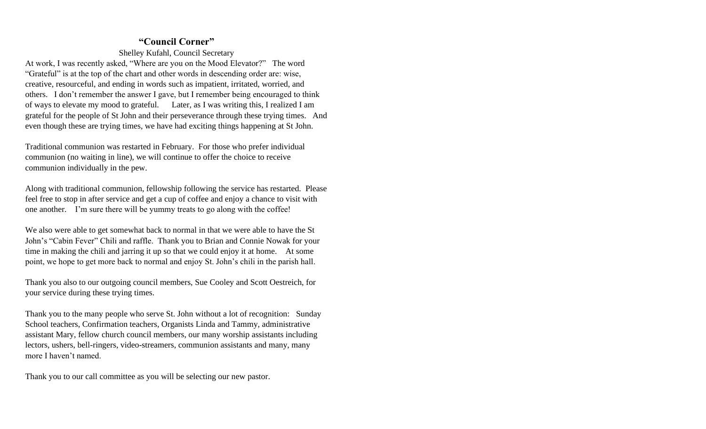### **"Council Corner"**

Shelley Kufahl, Council Secretary

At work, I was recently asked, "Where are you on the Mood Elevator?" The word "Grateful" is at the top of the chart and other words in descending order are: wise, creative, resourceful, and ending in words such as impatient, irritated, worried, and others. I don't remember the answer I gave, but I remember being encouraged to think of ways to elevate my mood to grateful. Later, as I was writing this, I realized I am grateful for the people of St John and their perseverance through these trying times. And even though these are trying times, we have had exciting things happening at St John.

Traditional communion was restarted in February. For those who prefer individual communion (no waiting in line), we will continue to offer the choice to receive communion individually in the pew.

Along with traditional communion, fellowship following the service has restarted. Please feel free to stop in after service and get a cup of coffee and enjoy a chance to visit with one another. I'm sure there will be yummy treats to go along with the coffee!

We also were able to get somewhat back to normal in that we were able to have the St John's "Cabin Fever" Chili and raffle. Thank you to Brian and Connie Nowak for your time in making the chili and jarring it up so that we could enjoy it at home. At some point, we hope to get more back to normal and enjoy St. John's chili in the parish hall.

Thank you also to our outgoing council members, Sue Cooley and Scott Oestreich, for your service during these trying times.

Thank you to the many people who serve St. John without a lot of recognition: Sunday School teachers, Confirmation teachers, Organists Linda and Tammy, administrative assistant Mary, fellow church council members, our many worship assistants including lectors, ushers, bell-ringers, video-streamers, communion assistants and many, many more I haven't named.

Thank you to our call committee as you will be selecting our new pastor.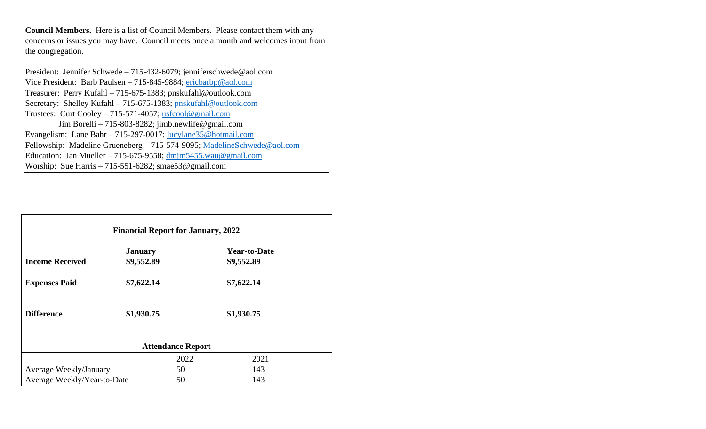**Council Members.** Here is a list of Council Members. Please contact them with any concerns or issues you may have. Council meets once a month and welcomes input from the congregation.

President: Jennifer Schwede – 715-432-6079; jenniferschwede@aol.com Vice President: Barb Paulsen – 715-845-9884; [ericbarbp@aol.com](mailto:ericbarbp@aol.com) Treasurer: Perry Kufahl – 715-675-1383; pnskufahl@outlook.com Secretary: Shelley Kufahl – 715-675-1383; [pnskufahl@outlook.com](mailto:pnskufahl@outlook.com) Trustees: Curt Cooley – 715-571-4057; [usfcool@gmail.com](mailto:usfcool@gmail.com) Jim Borelli – 715-803-8282; jimb.newlife@gmail.com Evangelism: Lane Bahr – 715-297-0017; [lucylane35@hotmail.com](mailto:lucylane35@hotmail.com) Fellowship: Madeline Grueneberg – 715-574-9095; [MadelineSchwede@aol.com](mailto:MadelineSchwede@aol.com) Education: Jan Mueller – 715-675-9558; [dmjm5455.wau@gmail.com](mailto:dmjm5455.wau@gmail.com) Worship: Sue Harris – 715-551-6282; smae53@gmail.com

| <b>Financial Report for January, 2022</b> |                              |      |                                   |  |  |
|-------------------------------------------|------------------------------|------|-----------------------------------|--|--|
| <b>Income Received</b>                    | <b>January</b><br>\$9,552.89 |      | <b>Year-to-Date</b><br>\$9,552.89 |  |  |
|                                           |                              |      |                                   |  |  |
| <b>Expenses Paid</b>                      | \$7,622.14                   |      | \$7,622.14                        |  |  |
| <b>Difference</b>                         | \$1,930.75                   |      | \$1,930.75                        |  |  |
| <b>Attendance Report</b>                  |                              |      |                                   |  |  |
|                                           |                              | 2022 | 2021                              |  |  |
| Average Weekly/January                    |                              | 50   | 143                               |  |  |
| Average Weekly/Year-to-Date               |                              | 50   | 143                               |  |  |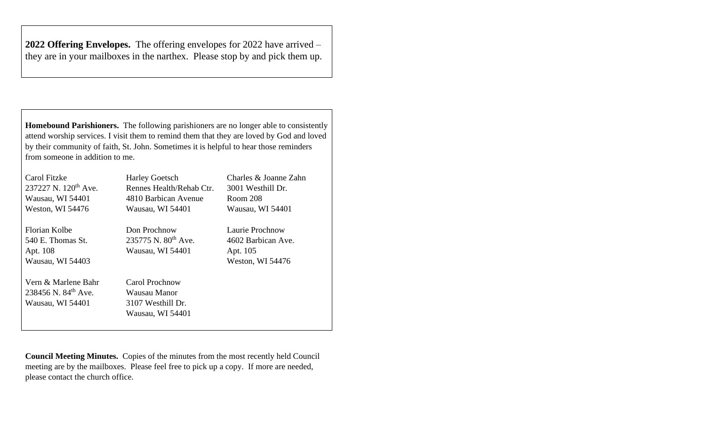**2022 Offering Envelopes.** The offering envelopes for 2022 have arrived – they are in your mailboxes in the narthex. Please stop by and pick them up.

**Homebound Parishioners.** The following parishioners are no longer able to consistently attend worship services. I visit them to remind them that they are loved by God and loved by their community of faith, St. John. Sometimes it is helpful to hear those reminders from someone in addition to me.

| Carol Fitzke                     | <b>Harley Goetsch</b>    | Charles & Joanne Zahn |  |
|----------------------------------|--------------------------|-----------------------|--|
| 237227 N. 120 <sup>th</sup> Ave. | Rennes Health/Rehab Ctr. | 3001 Westhill Dr.     |  |
| Wausau, WI 54401                 | 4810 Barbican Avenue     | Room 208              |  |
| Weston, WI 54476                 | Wausau, WI 54401         | Wausau, WI 54401      |  |
| Florian Kolbe                    | Don Prochnow             | Laurie Prochnow       |  |
| 540 E. Thomas St.                | 235775 N. $80^{th}$ Ave. | 4602 Barbican Ave.    |  |
| Apt. 108                         | Wausau, WI 54401         | Apt. 105              |  |
| Wausau, WI 54403                 |                          | Weston, WI 54476      |  |
| Vern & Marlene Bahr              | Carol Prochnow           |                       |  |
| 238456 N. $84^{th}$ Ave.         | Wausau Manor             |                       |  |
| Wausau, WI 54401                 | 3107 Westhill Dr.        |                       |  |
|                                  | Wausau, WI 54401         |                       |  |
|                                  |                          |                       |  |

**Council Meeting Minutes.** Copies of the minutes from the most recently held Council meeting are by the mailboxes. Please feel free to pick up a copy. If more are needed, please contact the church office.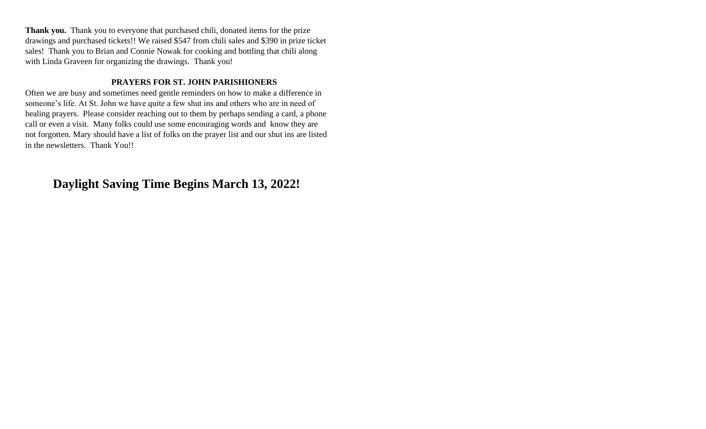**Thank you.** Thank you to everyone that purchased chili, donated items for the prize drawings and purchased tickets!! We raised \$547 from chili sales and \$390 in prize ticket sales! Thank you to Brian and Connie Nowak for cooking and bottling that chili along with Linda Graveen for organizing the drawings. Thank you!

## **PRAYERS FOR ST. JOHN PARISHIONERS**

Often we are busy and sometimes need gentle reminders on how to make a difference in someone's life. At St. John we have quite a few shut ins and others who are in need of healing prayers. Please consider reaching out to them by perhaps sending a card, a phone call or even a visit. Many folks could use some encouraging words and know they are not forgotten. Mary should have a list of folks on the prayer list and our shut ins are listed in the newsletters. Thank You!!

# **Daylight Saving Time Begins March 13, 2022!**